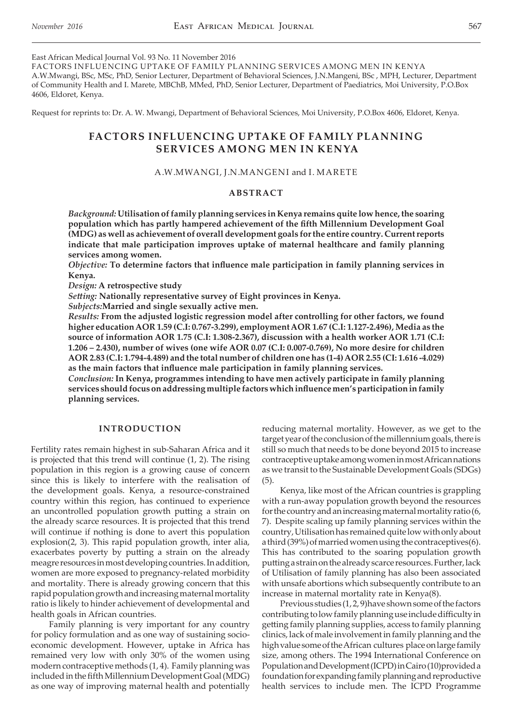East African Medical Journal Vol. 93 No. 11 November 2016

FACTORS INFLUENCING UPTAKE OF FAMILY PLANNING SERVICES AMONG MEN IN KENYA A.W.Mwangi, BSc, MSc, PhD, Senior Lecturer, Department of Behavioral Sciences, J.N.Mangeni, BSc , MPH, Lecturer, Department of Community Health and I. Marete, MBChB, MMed, PhD, Senior Lecturer, Department of Paediatrics, Moi University, P.O.Box 4606, Eldoret, Kenya.

Request for reprints to: Dr. A. W. Mwangi, Department of Behavioral Sciences, Moi University, P.O.Box 4606, Eldoret, Kenya.

# **FACTORS INFLUENCING UPTAKE OF FAMILY PLANNING SERVICES AMONG MEN IN KENYA**

### A.W.MWANGI, J.N.MANGENI and I. MARETE

### **ABSTRACT**

*Background:* **Utilisation of family planning services in Kenya remains quite low hence, the soaring population which has partly hampered achievement of the fifth Millennium Development Goal (MDG) as well as achievement of overall development goals for the entire country. Current reports indicate that male participation improves uptake of maternal healthcare and family planning services among women.**

*Objective:* **To determine factors that influence male participation in family planning services in Kenya.**

*Design:* **A retrospective study** 

*Setting:* **Nationally representative survey of Eight provinces in Kenya.** 

*Subjects:***Married and single sexually active men.** 

*Results:* **From the adjusted logistic regression model after controlling for other factors, we found higher education AOR 1.59 (C.I: 0.767-3.299), employment AOR 1.67 (C.I: 1.127-2.496), Media as the source of information AOR 1.75 (C.I: 1.308-2.367), discussion with a health worker AOR 1.71 (C.I: 1.206 – 2.430), number of wives (one wife AOR 0.07 (C.I: 0.007-0.769), No more desire for children AOR 2.83 (C.I: 1.794-4.489) and the total number of children one has (1-4) AOR 2.55 (CI: 1.616 -4.029) as the main factors that influence male participation in family planning services.**

*Conclusion:* **In Kenya, programmes intending to have men actively participate in family planning services should focus on addressing multiple factors which influence men's participation in family planning services.** 

### **INTRODUCTION**

Fertility rates remain highest in sub-Saharan Africa and it is projected that this trend will continue (1, 2). The rising population in this region is a growing cause of concern since this is likely to interfere with the realisation of the development goals. Kenya, a resource-constrained country within this region, has continued to experience an uncontrolled population growth putting a strain on the already scarce resources. It is projected that this trend will continue if nothing is done to avert this population explosion(2, 3). This rapid population growth, inter alia, exacerbates poverty by putting a strain on the already meagre resources in most developing countries. In addition, women are more exposed to pregnancy-related morbidity and mortality. There is already growing concern that this rapid population growth and increasing maternal mortality ratio is likely to hinder achievement of developmental and health goals in African countries.

Family planning is very important for any country for policy formulation and as one way of sustaining socioeconomic development. However, uptake in Africa has remained very low with only 30% of the women using modern contraceptive methods (1, 4). Family planning was included in the fifth Millennium Development Goal (MDG) as one way of improving maternal health and potentially reducing maternal mortality. However, as we get to the target year of the conclusion of the millennium goals, there is still so much that needs to be done beyond 2015 to increase contraceptive uptake among women in most African nations as we transit to the Sustainable Development Goals (SDGs) (5).

Kenya, like most of the African countries is grappling with a run-away population growth beyond the resources for the country and an increasing maternal mortality ratio (6, 7). Despite scaling up family planning services within the country, Utilisation has remained quite low with only about a third (39%) of married women using the contraceptives(6). This has contributed to the soaring population growth putting a strain on the already scarce resources. Further, lack of Utilisation of family planning has also been associated with unsafe abortions which subsequently contribute to an increase in maternal mortality rate in Kenya(8).

Previous studies (1, 2, 9)have shown some of the factors contributing to low family planning use include difficulty in getting family planning supplies, access to family planning clinics, lack of male involvement in family planning and the high value some of the African cultures place on large family size, among others. The 1994 International Conference on Population and Development (ICPD) in Cairo(10)provided a foundation for expanding family planning and reproductive health services to include men. The ICPD Programme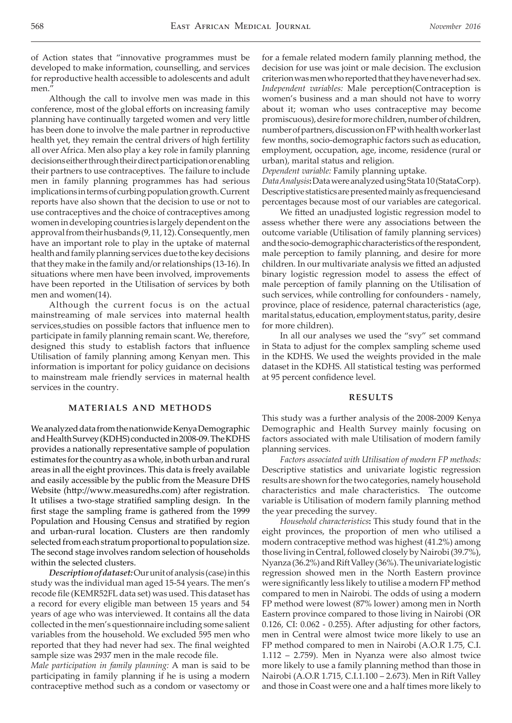of Action states that "innovative programmes must be developed to make information, counselling, and services for reproductive health accessible to adolescents and adult men.'

Although the call to involve men was made in this conference, most of the global efforts on increasing family planning have continually targeted women and very little has been done to involve the male partner in reproductive health yet, they remain the central drivers of high fertility all over Africa. Men also play a key role in family planning decisions either through their direct participation or enabling their partners to use contraceptives. The failure to include men in family planning programmes has had serious implications in terms of curbing population growth. Current reports have also shown that the decision to use or not to use contraceptives and the choice of contraceptives among women in developing countries is largely dependent on the approval from their husbands (9, 11, 12). Consequently, men have an important role to play in the uptake of maternal health and family planning services due to the key decisions that they make in the family and/or relationships (13-16). In situations where men have been involved, improvements have been reported in the Utilisation of services by both men and women(14).

Although the current focus is on the actual mainstreaming of male services into maternal health services,studies on possible factors that influence men to participate in family planning remain scant. We, therefore, designed this study to establish factors that influence Utilisation of family planning among Kenyan men. This information is important for policy guidance on decisions to mainstream male friendly services in maternal health services in the country.

# **MATERIALS AND METHODS**

We analyzed data from the nationwide Kenya Demographic and Health Survey (KDHS) conducted in 2008-09. The KDHS provides a nationally representative sample of population estimates for the country as a whole, in both urban and rural areas in all the eight provinces. This data is freely available and easily accessible by the public from the Measure DHS Website (http://www.measuredhs.com) after registration. It utilises a two-stage stratified sampling design. In the first stage the sampling frame is gathered from the 1999 Population and Housing Census and stratified by region and urban-rural location. Clusters are then randomly selected from each stratum proportional to population size. The second stage involves random selection of households within the selected clusters.

*Description of dataset:* Our unit of analysis (case) in this study was the individual man aged 15-54 years. The men's recode file (KEMR52FL data set) was used. This dataset has a record for every eligible man between 15 years and 54 years of age who was interviewed. It contains all the data collected in the men's questionnaire including some salient variables from the household. We excluded 595 men who reported that they had never had sex. The final weighted sample size was 2937 men in the male recode file.

*Male participation in family planning:* A man is said to be participating in family planning if he is using a modern contraceptive method such as a condom or vasectomy or for a female related modern family planning method, the decision for use was joint or male decision. The exclusion criterion was men who reported that they have never had sex. *Independent variables:* Male perception(Contraception is women's business and a man should not have to worry about it; woman who uses contraceptive may become promiscuous), desire for more children, number of children, number of partners, discussion on FP with health worker last few months, socio-demographic factors such as education, employment, occupation, age, income, residence (rural or urban), marital status and religion.

*Dependent variable:* Family planning uptake.

*Data Analysis***:** Data were analyzed using Stata 10 (StataCorp). Descriptive statistics are presented mainly as frequenciesand percentages because most of our variables are categorical.

We fitted an unadjusted logistic regression model to assess whether there were any associations between the outcome variable (Utilisation of family planning services) and the socio-demographic characteristics of the respondent, male perception to family planning, and desire for more children. In our multivariate analysis we fitted an adjusted binary logistic regression model to assess the effect of male perception of family planning on the Utilisation of such services, while controlling for confounders - namely, province, place of residence, paternal characteristics (age, marital status, education, employment status, parity, desire for more children).

In all our analyses we used the "svy" set command in Stata to adjust for the complex sampling scheme used in the KDHS. We used the weights provided in the male dataset in the KDHS. All statistical testing was performed at 95 percent confidence level.

#### **RESULTS**

This study was a further analysis of the 2008-2009 Kenya Demographic and Health Survey mainly focusing on factors associated with male Utilisation of modern family planning services.

*Factors associated with Utilisation of modern FP methods:* Descriptive statistics and univariate logistic regression results are shown for the two categories, namely household characteristics and male characteristics. The outcome variable is Utilisation of modern family planning method the year preceding the survey.

*Household characteristics***:** This study found that in the eight provinces, the proportion of men who utilised a modern contraceptive method was highest (41.2%) among those living in Central, followed closely by Nairobi (39.7%), Nyanza (36.2%) and Rift Valley (36%). The univariate logistic regression showed men in the North Eastern province were significantly less likely to utilise a modern FP method compared to men in Nairobi. The odds of using a modern FP method were lowest (87% lower) among men in North Eastern province compared to those living in Nairobi (OR 0.126, CI: 0.062 - 0.255). After adjusting for other factors, men in Central were almost twice more likely to use an FP method compared to men in Nairobi (A.O.R 1.75, C.I. 1.112 – 2.759). Men in Nyanza were also almost twice more likely to use a family planning method than those in Nairobi (A.O.R 1.715, C.I.1.100 – 2.673). Men in Rift Valley and those in Coast were one and a half times more likely to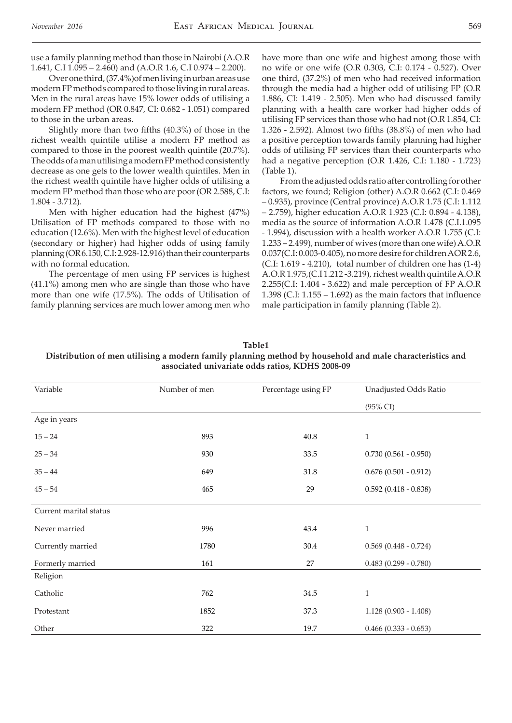use a family planning method than those in Nairobi (A.O.R 1.641, C.I 1.095 – 2.460) and (A.O.R 1.6, C.I 0.974 – 2.200).

Over one third, (37.4%)of men living in urban areas use modern FP methods compared to those living in rural areas. Men in the rural areas have 15% lower odds of utilising a modern FP method (OR 0.847, CI: 0.682 - 1.051) compared to those in the urban areas.

Slightly more than two fifths (40.3%) of those in the richest wealth quintile utilise a modern FP method as compared to those in the poorest wealth quintile (20.7%). The odds of a man utilising a modern FP method consistently decrease as one gets to the lower wealth quintiles. Men in the richest wealth quintile have higher odds of utilising a modern FP method than those who are poor (OR 2.588, C.I: 1.804 - 3.712).

Men with higher education had the highest (47%) Utilisation of FP methods compared to those with no education (12.6%). Men with the highest level of education (secondary or higher) had higher odds of using family planning (OR 6.150, C.I: 2.928-12.916) than their counterparts with no formal education.

The percentage of men using FP services is highest (41.1%) among men who are single than those who have more than one wife (17.5%). The odds of Utilisation of family planning services are much lower among men who have more than one wife and highest among those with no wife or one wife (O.R 0.303, C.I: 0.174 - 0.527). Over one third, (37.2%) of men who had received information through the media had a higher odd of utilising FP (O.R 1.886, CI: 1.419 - 2.505). Men who had discussed family planning with a health care worker had higher odds of utilising FP services than those who had not (O.R 1.854, CI: 1.326 - 2.592). Almost two fifths (38.8%) of men who had a positive perception towards family planning had higher odds of utilising FP services than their counterparts who had a negative perception (O.R 1.426, C.I: 1.180 - 1.723) (Table 1).

From the adjusted odds ratio after controlling for other factors, we found; Religion (other) A.O.R 0.662 (C.I: 0.469 – 0.935), province (Central province) A.O.R 1.75 (C.I: 1.112 – 2.759), higher education A.O.R 1.923 (C.I: 0.894 - 4.138), media as the source of information A.O.R 1.478 (C.I.1.095 - 1.994), discussion with a health worker A.O.R 1.755 (C.I: 1.233 – 2.499), number of wives (more than one wife) A.O.R 0.037(C.I: 0.003-0.405), no more desire for children AOR 2.6, (C.I: 1.619 - 4.210), total number of children one has (1-4) A.O.R 1.975,(C.I 1.212 -3.219), richest wealth quintile A.O.R 2.255(C.I: 1.404 - 3.622) and male perception of FP A.O.R 1.398 (C.I: 1.155 – 1.692) as the main factors that influence male participation in family planning (Table 2).

| Table <sub>1</sub>                                                                                      |
|---------------------------------------------------------------------------------------------------------|
| Distribution of men utilising a modern family planning method by household and male characteristics and |
| associated univariate odds ratios, KDHS 2008-09                                                         |

| Variable               | Number of men | Percentage using FP | Unadjusted Odds Ratio   |
|------------------------|---------------|---------------------|-------------------------|
|                        |               |                     |                         |
|                        |               |                     | $(95\% \text{ CI})$     |
| Age in years           |               |                     |                         |
| $15 - 24$              | 893           | 40.8                | $1\,$                   |
| $25 - 34$              | 930           | 33.5                | $0.730(0.561 - 0.950)$  |
| $35 - 44$              | 649           | 31.8                | $0.676(0.501 - 0.912)$  |
| $45 - 54$              | 465           | 29                  | $0.592(0.418 - 0.838)$  |
| Current marital status |               |                     |                         |
| Never married          | 996           | 43.4                | $\mathbf{1}$            |
| Currently married      | 1780          | 30.4                | $0.569$ (0.448 - 0.724) |
| Formerly married       | 161           | 27                  | $0.483(0.299 - 0.780)$  |
| Religion               |               |                     |                         |
| Catholic               | 762           | 34.5                | $\mathbf{1}$            |
| Protestant             | 1852          | 37.3                | $1.128(0.903 - 1.408)$  |
| Other                  | 322           | 19.7                | $0.466$ (0.333 - 0.653) |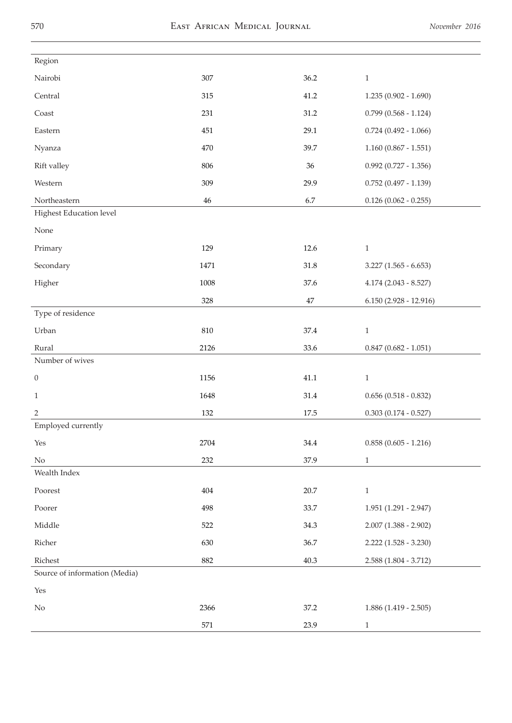| Region                        |        |          |                           |
|-------------------------------|--------|----------|---------------------------|
| Nairobi                       | 307    | 36.2     | $1\,$                     |
| Central                       | 315    | 41.2     | $1.235(0.902 - 1.690)$    |
| Coast                         | 231    | 31.2     | $0.799$ $(0.568 - 1.124)$ |
| Eastern                       | 451    | 29.1     | $0.724$ (0.492 - 1.066)   |
| Nyanza                        | 470    | 39.7     | $1.160(0.867 - 1.551)$    |
| Rift valley                   | 806    | 36       | $0.992$ (0.727 - 1.356)   |
| Western                       | 309    | 29.9     | $0.752(0.497 - 1.139)$    |
| Northeastern                  | $46\,$ | 6.7      | $0.126(0.062 - 0.255)$    |
| Highest Education level       |        |          |                           |
| None                          |        |          |                           |
| Primary                       | 129    | 12.6     | $\,1\,$                   |
| Secondary                     | 1471   | 31.8     | $3.227$ (1.565 - 6.653)   |
| Higher                        | 1008   | 37.6     | $4.174(2.043 - 8.527)$    |
|                               | 328    | $47\,$   | $6.150(2.928 - 12.916)$   |
| Type of residence             |        |          |                           |
| Urban                         | 810    | 37.4     | $1\,$                     |
| Rural                         | 2126   | 33.6     | $0.847$ (0.682 - 1.051)   |
| Number of wives               |        |          |                           |
| $\boldsymbol{0}$              | 1156   | 41.1     | $\mathbf{1}$              |
| $\mathbf{1}$                  | 1648   | 31.4     | $0.656$ (0.518 - 0.832)   |
| $\overline{2}$                | 132    | $17.5\,$ | $0.303(0.174 - 0.527)$    |
| Employed currently            |        |          |                           |
| Yes                           | 2704   | $34.4\,$ | $0.858(0.605 - 1.216)$    |
| $\rm No$                      | 232    | 37.9     | $\,1$                     |
| Wealth Index                  |        |          |                           |
| Poorest                       | 404    | 20.7     | $1\,$                     |
| Poorer                        | 498    | 33.7     | $1.951(1.291 - 2.947)$    |
| Middle                        | 522    | 34.3     | $2.007(1.388 - 2.902)$    |
| Richer                        | 630    | 36.7     | $2.222$ $(1.528 - 3.230)$ |
| Richest                       | 882    | 40.3     | $2.588(1.804 - 3.712)$    |
| Source of information (Media) |        |          |                           |
| Yes                           |        |          |                           |
| N <sub>o</sub>                | 2366   | 37.2     | $1.886(1.419 - 2.505)$    |
|                               | 571    | 23.9     | $\mathbf{1}$              |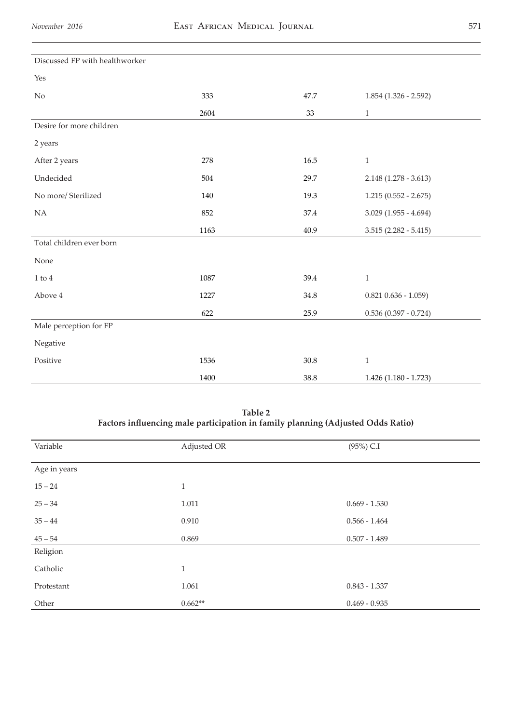| Discussed FP with healthworker |      |      |                         |
|--------------------------------|------|------|-------------------------|
| Yes                            |      |      |                         |
| $\rm No$                       | 333  | 47.7 | $1.854$ (1.326 - 2.592) |
|                                | 2604 | 33   | $\,1$                   |
| Desire for more children       |      |      |                         |
| 2 years                        |      |      |                         |
| After 2 years                  | 278  | 16.5 | $\,1\,$                 |
| Undecided                      | 504  | 29.7 | $2.148(1.278 - 3.613)$  |
| No more/ Sterilized            | 140  | 19.3 | $1.215(0.552 - 2.675)$  |
| NA                             | 852  | 37.4 | $3.029$ (1.955 - 4.694) |
|                                | 1163 | 40.9 | $3.515(2.282 - 5.415)$  |
| Total children ever born       |      |      |                         |
| None                           |      |      |                         |
| $1$ to $4\,$                   | 1087 | 39.4 | $\mathbf{1}$            |
| Above 4                        | 1227 | 34.8 | $0.821$ $0.636 - 1.059$ |
|                                | 622  | 25.9 | $0.536(0.397 - 0.724)$  |
| Male perception for FP         |      |      |                         |
| Negative                       |      |      |                         |
| Positive                       | 1536 | 30.8 | $\mathbf{1}$            |
|                                | 1400 | 38.8 | $1.426(1.180 - 1.723)$  |

**Table 2 Factors influencing male participation in family planning (Adjusted Odds Ratio)**

| Variable     | Adjusted OR  | $(95\%)$ C.I    |
|--------------|--------------|-----------------|
|              |              |                 |
| Age in years |              |                 |
| $15 - 24$    | $\mathbf{1}$ |                 |
|              |              |                 |
| $25 - 34$    | 1.011        | $0.669 - 1.530$ |
| $35 - 44$    | 0.910        | $0.566 - 1.464$ |
|              |              |                 |
| $45 - 54$    | 0.869        | $0.507 - 1.489$ |
| Religion     |              |                 |
|              |              |                 |
| Catholic     | $\mathbf{1}$ |                 |
| Protestant   | 1.061        | $0.843 - 1.337$ |
|              |              |                 |
| Other        | $0.662**$    | $0.469 - 0.935$ |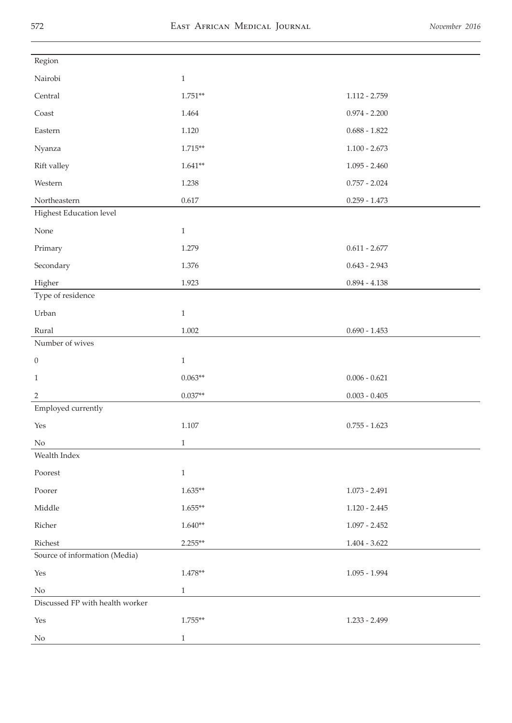| Region                          |              |                     |
|---------------------------------|--------------|---------------------|
| Nairobi                         | $\,1$        |                     |
| Central                         | $1.751**$    | $1.112 - 2.759$     |
| $\mbox{Coast}$                  | 1.464        | $0.974 - 2.200$     |
| Eastern                         | 1.120        | $0.688 - 1.822$     |
| Nyanza                          | $1.715**$    | $1.100 - 2.673$     |
| Rift valley                     | $1.641**$    | $1.095 - 2.460$     |
| Western                         | 1.238        | $0.757 - 2.024$     |
| Northeastern                    | 0.617        | $0.259 - 1.473$     |
| Highest Education level         |              |                     |
| None                            | $\,1$        |                     |
| Primary                         | 1.279        | $0.611 - 2.677$     |
| Secondary                       | $1.376\,$    | $0.643 - 2.943$     |
| Higher                          | 1.923        | $0.894 - 4.138$     |
| Type of residence               |              |                     |
| Urban                           | $\,1\,$      |                     |
| Rural                           | $1.002\,$    | $0.690 - 1.453$     |
| Number of wives                 |              |                     |
| $\boldsymbol{0}$                | $\mathbf{1}$ |                     |
| $\mathbf{1}$                    | $0.063**$    | $0.006 - 0.621$     |
| $\sqrt{2}$                      | $0.037**$    | $0.003$ - $0.405\,$ |
| Employed currently              |              |                     |
| Yes                             | $1.107\,$    | $0.755 - 1.623$     |
| N <sub>o</sub>                  | $\,1\,$      |                     |
| Wealth Index                    |              |                     |
| Poorest                         | $\,1\,$      |                     |
| Poorer                          | $1.635**$    | $1.073 - 2.491$     |
| Middle                          | $1.655**$    | $1.120 - 2.445$     |
| Richer                          | $1.640**$    | $1.097 - 2.452$     |
| Richest                         | $2.255**$    | $1.404 - 3.622$     |
| Source of information (Media)   |              |                     |
| Yes                             | $1.478**$    | $1.095 - 1.994$     |
| No                              | $\mathbf{1}$ |                     |
| Discussed FP with health worker |              |                     |
| Yes                             | $1.755**$    | 1.233 - 2.499       |
| No                              | $\mathbf{1}$ |                     |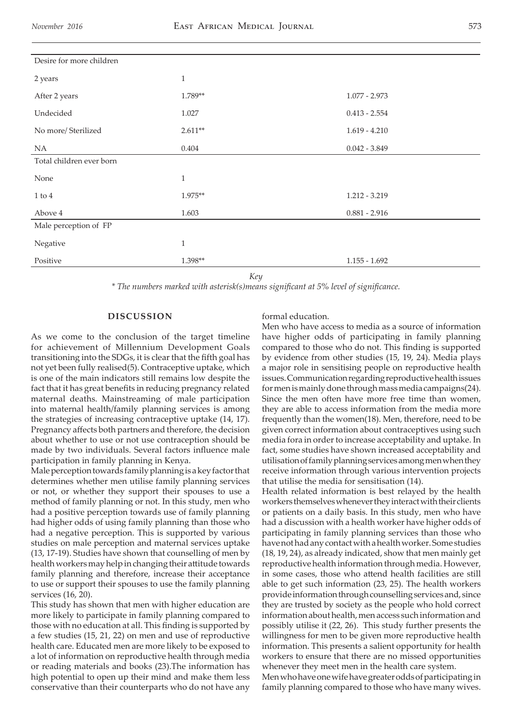| Desire for more children |              |                 |
|--------------------------|--------------|-----------------|
| 2 years                  | 1            |                 |
| After 2 years            | 1.789**      | $1.077 - 2.973$ |
| Undecided                | 1.027        | $0.413 - 2.554$ |
| No more/Sterilized       | $2.611**$    | $1.619 - 4.210$ |
| <b>NA</b>                | 0.404        | $0.042 - 3.849$ |
| Total children ever born |              |                 |
| None                     | $\mathbf{1}$ |                 |
| $1$ to $4$               | $1.975**$    | $1.212 - 3.219$ |
| Above 4                  | 1.603        | $0.881 - 2.916$ |
| Male perception of FP    |              |                 |
| Negative                 | $\mathbf{1}$ |                 |
| Positive                 | 1.398**      | $1.155 - 1.692$ |

*Key*

*\* The numbers marked with asterisk(s)means significant at 5% level of significance.* 

# **DISCUSSION**

As we come to the conclusion of the target timeline for achievement of Millennium Development Goals transitioning into the SDGs, it is clear that the fifth goal has not yet been fully realised(5). Contraceptive uptake, which is one of the main indicators still remains low despite the fact that it has great benefits in reducing pregnancy related maternal deaths. Mainstreaming of male participation into maternal health/family planning services is among the strategies of increasing contraceptive uptake (14, 17). Pregnancy affects both partners and therefore, the decision about whether to use or not use contraception should be made by two individuals. Several factors influence male participation in family planning in Kenya.

Male perception towards family planning is a key factor that determines whether men utilise family planning services or not, or whether they support their spouses to use a method of family planning or not. In this study, men who had a positive perception towards use of family planning had higher odds of using family planning than those who had a negative perception. This is supported by various studies on male perception and maternal services uptake (13, 17-19). Studies have shown that counselling of men by health workers may help in changing their attitude towards family planning and therefore, increase their acceptance to use or support their spouses to use the family planning services (16, 20).

This study has shown that men with higher education are more likely to participate in family planning compared to those with no education at all. This finding is supported by a few studies (15, 21, 22) on men and use of reproductive health care. Educated men are more likely to be exposed to a lot of information on reproductive health through media or reading materials and books (23).The information has high potential to open up their mind and make them less conservative than their counterparts who do not have any

# formal education.

Men who have access to media as a source of information have higher odds of participating in family planning compared to those who do not. This finding is supported by evidence from other studies (15, 19, 24). Media plays a major role in sensitising people on reproductive health issues. Communication regarding reproductive health issues for men is mainly done through mass media campaigns(24). Since the men often have more free time than women, they are able to access information from the media more frequently than the women(18). Men, therefore, need to be given correct information about contraceptives using such media fora in order to increase acceptability and uptake. In fact, some studies have shown increased acceptability and utilisation of family planning services among men when they receive information through various intervention projects that utilise the media for sensitisation (14).

Health related information is best relayed by the health workers themselves whenever they interact with their clients or patients on a daily basis. In this study, men who have had a discussion with a health worker have higher odds of participating in family planning services than those who have not had any contact with a health worker. Some studies (18, 19, 24), as already indicated, show that men mainly get reproductive health information through media. However, in some cases, those who attend health facilities are still able to get such information (23, 25). The health workers provide information through counselling services and, since they are trusted by society as the people who hold correct information about health, men access such information and possibly utilise it (22, 26). This study further presents the willingness for men to be given more reproductive health information. This presents a salient opportunity for health workers to ensure that there are no missed opportunities whenever they meet men in the health care system.

Men who have one wife have greater odds of participating in family planning compared to those who have many wives.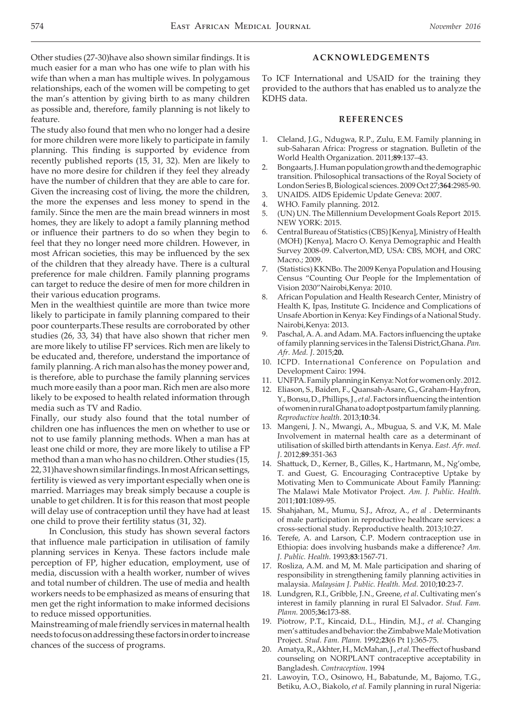Other studies (27-30)have also shown similar findings. It is much easier for a man who has one wife to plan with his wife than when a man has multiple wives. In polygamous relationships, each of the women will be competing to get the man's attention by giving birth to as many children as possible and, therefore, family planning is not likely to feature.

The study also found that men who no longer had a desire for more children were more likely to participate in family planning. This finding is supported by evidence from recently published reports (15, 31, 32). Men are likely to have no more desire for children if they feel they already have the number of children that they are able to care for. Given the increasing cost of living, the more the children, the more the expenses and less money to spend in the family. Since the men are the main bread winners in most homes, they are likely to adopt a family planning method or influence their partners to do so when they begin to feel that they no longer need more children. However, in most African societies, this may be influenced by the sex of the children that they already have. There is a cultural preference for male children. Family planning programs can target to reduce the desire of men for more children in their various education programs.

Men in the wealthiest quintile are more than twice more likely to participate in family planning compared to their poor counterparts.These results are corroborated by other studies (26, 33, 34) that have also shown that richer men are more likely to utilise FP services. Rich men are likely to be educated and, therefore, understand the importance of family planning. A rich man also has the money power and, is therefore, able to purchase the family planning services much more easily than a poor man. Rich men are also more likely to be exposed to health related information through media such as TV and Radio.

Finally, our study also found that the total number of children one has influences the men on whether to use or not to use family planning methods. When a man has at least one child or more, they are more likely to utilise a FP method than a man who has no children. Other studies (15, 22, 31)have shown similar findings. In most African settings, fertility is viewed as very important especially when one is married. Marriages may break simply because a couple is unable to get children. It is for this reason that most people will delay use of contraception until they have had at least one child to prove their fertility status (31, 32).

In Conclusion, this study has shown several factors that influence male participation in utilisation of family planning services in Kenya. These factors include male perception of FP, higher education, employment, use of media, discussion with a health worker, number of wives and total number of children. The use of media and health workers needs to be emphasized as means of ensuring that men get the right information to make informed decisions to reduce missed opportunities.

Mainstreaming of male friendly services in maternal health needs to focus on addressing these factors in order to increase chances of the success of programs.

### **ACKNOWLEDGEMENTS**

To ICF International and USAID for the training they provided to the authors that has enabled us to analyze the KDHS data.

# **REFERENCES**

- 1. Cleland, J.G., Ndugwa, R.P., Zulu, E.M. Family planning in sub-Saharan Africa: Progress or stagnation. Bulletin of the World Health Organization. 2011;**89**:137–43.
- 2. Bongaarts, J. Human population growth and the demographic transition. Philosophical transactions of the Royal Society of London Series B, Biological sciences. 2009 Oct 27;**364**:2985-90.
- 3. UNAIDS. AIDS Epidemic Update Geneva: 2007.
- 4. WHO. Family planning. 2012.
- 5. (UN) UN. The Millennium Development Goals Report 2015. NEW YORK: 2015.
- 6. Central Bureau of Statistics (CBS) [Kenya], Ministry of Health (MOH) [Kenya], Macro O. Kenya Demographic and Health Survey 2008-09. Calverton, MD, USA: CBS, MOH, and ORC Macro.; 2009.
- 7. (Statistics) KKNBo. The 2009 Kenya Population and Housing Census "Counting Our People for the Implementation of Vision 2030"Nairobi,Kenya: 2010.
- 8. African Population and Health Research Center, Ministry of Health K, Ipas, Institute G. Incidence and Complications of Unsafe Abortion in Kenya: Key Findings of a National Study. Nairobi,Kenya: 2013.
- Paschal, A. A. and Adam. MA. Factors influencing the uptake of family planning services in the Talensi District,Ghana. *Pan. Afr. Med. J*. 2015;**20.**
- 10. ICPD. International Conference on Population and Development Cairo: 1994.
- 11. UNFPA. Family planning in Kenya: Not for women only. 2012.
- 12. Eliason, S., Baiden, F., Quansah-Asare, G., Graham-Hayfron, Y., Bonsu, D., Phillips, J., *et al*. Factors influencing the intention of women in rural Ghana to adopt postpartum family planning. *Reproductive health*. 2013;**10**:34.
- 13. Mangeni, J. N., Mwangi, A., Mbugua, S. and V.K, M. Male Involvement in maternal health care as a determinant of utilisation of skilled birth attendants in Kenya. *East. Afr. med. J*. 2012;**89**:351-363
- 14. Shattuck, D., Kerner, B., Gilles, K., Hartmann, M., Ng'ombe, T. and Guest, G. Encouraging Contraceptive Uptake by Motivating Men to Communicate About Family Planning: The Malawi Male Motivator Project. *Am. J. Public. Health*. 2011;**101**:1089-95.
- 15. Shahjahan, M., Mumu, S.J., Afroz, A., *et al* . Determinants of male participation in reproductive healthcare services: a cross-sectional study. Reproductive health. 2013;10:27.
- 16. Terefe, A. and Larson, C.P. Modern contraception use in Ethiopia: does involving husbands make a difference? *Am. J. Public. Health*. 1993;**83**:1567-71.
- 17. Rosliza, A.M. and M, M. Male participation and sharing of responsibility in strengthening family planning activities in malaysia. *Malaysian J. Public. Health. Med.* 2010;**10**:23-7.
- 18. Lundgren, R.I., Gribble, J.N., Greene, *et al*. Cultivating men's interest in family planning in rural El Salvador. *Stud. Fam. Plann.* 2005;**36:**173-88.
- 19. Piotrow, P.T., Kincaid, D.L., Hindin, M.J., *et al*. Changing men's attitudes and behavior: the Zimbabwe Male Motivation Project. *Stud. Fam. Plann.* 1992;**23**(6 Pt 1):365-75.
- 20. Amatya, R., Akhter, H., McMahan, J., *et al.* The effect of husband counseling on NORPLANT contraceptive acceptability in Bangladesh. *Contraception*. 1994
- 21. Lawoyin, T.O., Osinowo, H., Babatunde, M., Bajomo, T.G., Betiku, A.O., Biakolo, *et al.* Family planning in rural Nigeria: